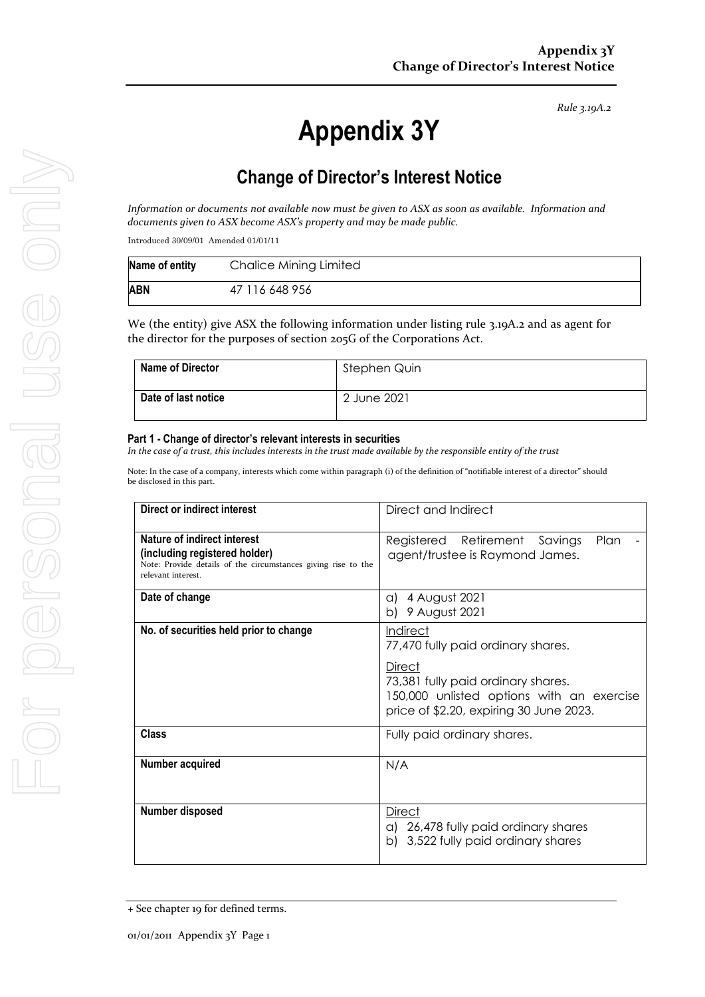*Rule 3.19A.2*

# **Appendix 3Y**

# **Change of Director's Interest Notice**

*Information or documents not available now must be given to ASX as soon as available. Information and documents given to ASX become ASX's property and may be made public.*

Introduced 30/09/01 Amended 01/01/11

| Name of entity | Chalice Mining Limited |
|----------------|------------------------|
| ABN            | 47 116 648 956         |

We (the entity) give ASX the following information under listing rule 3.19A.2 and as agent for the director for the purposes of section 205G of the Corporations Act.

| <b>Name of Director</b> | Stephen Quin |
|-------------------------|--------------|
| Date of last notice     | 2 June 2021  |

#### **Part 1 - Change of director's relevant interests in securities**

*In the case of a trust, this includes interests in the trust made available by the responsible entity of the trust*

Note: In the case of a company, interests which come within paragraph (i) of the definition of "notifiable interest of a director" should be disclosed in this part.

| Direct or indirect interest                                                                                                                         | Direct and Indirect                                                                                                                                                                           |  |
|-----------------------------------------------------------------------------------------------------------------------------------------------------|-----------------------------------------------------------------------------------------------------------------------------------------------------------------------------------------------|--|
| Nature of indirect interest<br>(including registered holder)<br>Note: Provide details of the circumstances giving rise to the<br>relevant interest. | Registered Retirement<br>Plan<br>Savings<br>agent/trustee is Raymond James.                                                                                                                   |  |
| Date of change                                                                                                                                      | a) $4$ August 2021<br>b) 9 August 2021                                                                                                                                                        |  |
| No. of securities held prior to change                                                                                                              | <b>Indirect</b><br>77,470 fully paid ordinary shares.<br>Direct<br>73,381 fully paid ordinary shares.<br>150,000 unlisted options with an exercise<br>price of \$2.20, expiring 30 June 2023. |  |
| <b>Class</b>                                                                                                                                        | Fully paid ordinary shares.                                                                                                                                                                   |  |
| Number acquired                                                                                                                                     | N/A                                                                                                                                                                                           |  |
| Number disposed                                                                                                                                     | Direct<br>a) 26,478 fully paid ordinary shares<br>b) 3,522 fully paid ordinary shares                                                                                                         |  |

<sup>+</sup> See chapter 19 for defined terms.